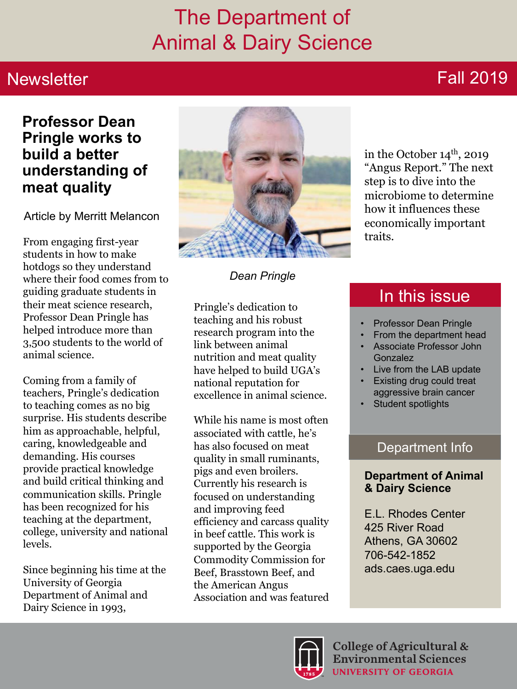## The Department of Animal & Dairy Science

### **Newsletter**

## Fall 2019

#### **Professor Dean Pringle works to build a better understanding of meat quality**

Article by Merritt Melancon

From engaging first-year students in how to make hotdogs so they understand where their food comes from to guiding graduate students in their meat science research, Professor Dean Pringle has helped introduce more than 3,500 students to the world of animal science.

Coming from a family of teachers, Pringle's dedication to teaching comes as no big surprise. His students describe him as approachable, helpful, caring, knowledgeable and demanding. His courses provide practical knowledge and build critical thinking and communication skills. Pringle has been recognized for his teaching at the department, college, university and national levels.

Since beginning his time at the University of Georgia Department of Animal and Dairy Science in 1993,



*Dean Pringle*

Pringle's dedication to teaching and his robust research program into the link between animal nutrition and meat quality have helped to build UGA's national reputation for excellence in animal science.

While his name is most often associated with cattle, he's has also focused on meat quality in small ruminants, pigs and even broilers. Currently his research is focused on understanding and improving feed efficiency and carcass quality in beef cattle. This work is supported by the Georgia Commodity Commission for Beef, Brasstown Beef, and the American Angus Association and was featured in the October  $14<sup>th</sup>$ , 2019 "Angus Report." The next step is to dive into the microbiome to determine how it influences these economically important traits.

### In this issue

- Professor Dean Pringle
- From the department head
- Associate Professor John **Gonzalez**
- Live from the LAB update
- Existing drug could treat aggressive brain cancer
- Student spotlights

#### Department Info

#### **Department of Animal & Dairy Science**

E.L. Rhodes Center 425 River Road Athens, GA 30602 706-542-1852 ads.caes.uga.edu

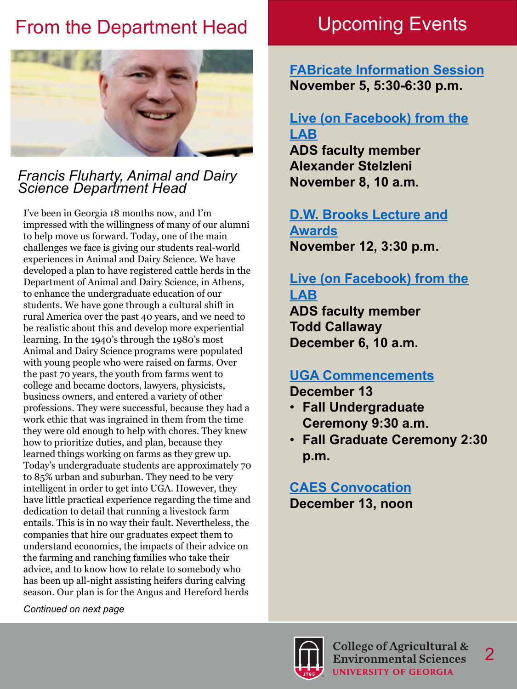## From the Department Head Upcoming Events



#### *Francis Fluharty, Animal and Dairy Science Department Head*

I've been in Georgia 18 months now, and I'm impressed with the willingness of many of our alumni to help move us forward. Today, one of the main challenges we face is giving our students real-world experiences in Animal and Dairy Science. We have developed a plan to have registered cattle herds in the Department of Animal and Dairy Science, in Athens, to enhance the undergraduate education of our students. We have gone through a cultural shift in rural America over the past 40 years, and we need to be realistic about this and develop more experiential learning. In the 1940's through the 1980's most Animal and Dairy Science programs were populated with young people who were raised on farms. Over the past 70 years, the youth from farms went to college and became doctors, lawyers, physicists, business owners, and entered a variety of other professions. They were successful, because they had a work ethic that was ingrained in them from the time they were old enough to help with chores. They knew how to prioritize duties, and plan, because they learned things working on farms as they grew up. Today's undergraduate students are approximately 70 to 85% urban and suburban. They need to be very intelligent in order to get into UGA. However, they have little practical experience regarding the time and dedication to detail that running a livestock farm entails. This is in no way their fault. Nevertheless, the companies that hire our graduates expect them to understand economics, the impacts of their advice on the farming and ranching families who take their advice, and to know how to relate to somebody who has been up all-night assisting heifers during calving season. Our plan is for the Angus and Hereford herds

**FABricate [Information Session](https://ads.caes.uga.edu/calendar/event.html?eventid=1573&event=FABricate-Information-Session) November 5, 5:30-6:30 p.m.**

#### **[Live \(on Facebook\) from the](www.facebook.com/UGACAES)  LAB**

**ADS faculty member Alexander Stelzleni November 8, 10 a.m.** 

#### **[D.W. Brooks Lecture and](https://dwbrooks.caes.uga.edu/)  Awards November 12, 3:30 p.m.**

#### **Live (on Facebook) from the LAB**

**ADS faculty member Todd Callaway December 6, 10 a.m.** 

#### **[UGA Commencements](https://www.caes.uga.edu/students/current-students/graduation.html)**

**December 13**

- **Fall Undergraduate Ceremony 9:30 a.m.**
- **Fall Graduate Ceremony 2:30 p.m.**

**[CAES Convocation](https://www.caes.uga.edu/students/current-students/graduation.html) December 13, noon**



*Continued on next page*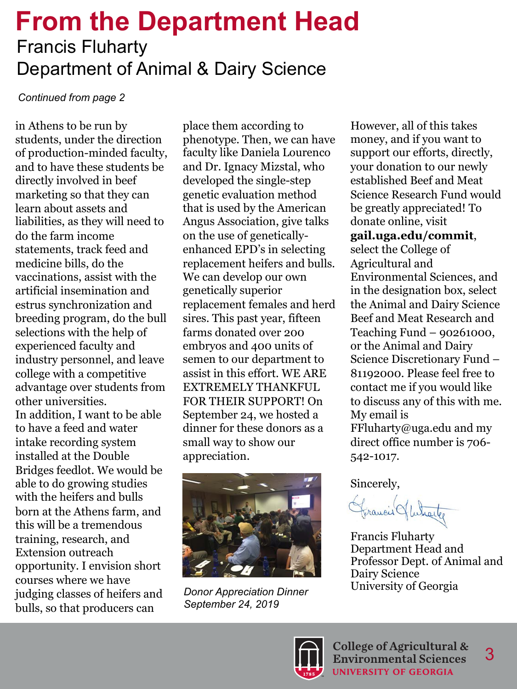## **From the Department Head** Francis Fluharty Department of Animal & Dairy Science

#### *Continued from page 2*

in Athens to be run by students, under the direction of production-minded faculty, and to have these students be directly involved in beef marketing so that they can learn about assets and liabilities, as they will need to do the farm income statements, track feed and medicine bills, do the vaccinations, assist with the artificial insemination and estrus synchronization and breeding program, do the bull selections with the help of experienced faculty and industry personnel, and leave college with a competitive advantage over students from other universities. In addition, I want to be able to have a feed and water intake recording system installed at the Double Bridges feedlot. We would be able to do growing studies with the heifers and bulls born at the Athens farm, and this will be a tremendous training, research, and Extension outreach opportunity. I envision short courses where we have judging classes of heifers and bulls, so that producers can

place them according to phenotype. Then, we can have faculty like Daniela Lourenco and Dr. Ignacy Mizstal, who developed the single-step genetic evaluation method that is used by the American Angus Association, give talks on the use of geneticallyenhanced EPD's in selecting replacement heifers and bulls. We can develop our own genetically superior replacement females and herd sires. This past year, fifteen farms donated over 200 embryos and 400 units of semen to our department to assist in this effort. WE ARE EXTREMELY THANKFUL FOR THEIR SUPPORT! On September 24, we hosted a dinner for these donors as a small way to show our appreciation.



*Donor Appreciation Dinner September 24, 2019*

However, all of this takes money, and if you want to support our efforts, directly, your donation to our newly established Beef and Meat Science Research Fund would be greatly appreciated! To donate online, visit **gail.uga.edu/commit**, select the College of Agricultural and Environmental Sciences, and in the designation box, select the Animal and Dairy Science

Teaching Fund – 90261000, or the Animal and Dairy Science Discretionary Fund – 81192000. Please feel free to contact me if you would like to discuss any of this with me. My email is FFluharty@uga.edu and my direct office number is 706- 542-1017.

Beef and Meat Research and

Sincerely,

Francis Hutharter

Francis Fluharty Department Head and Professor Dept. of Animal and Dairy Science University of Georgia

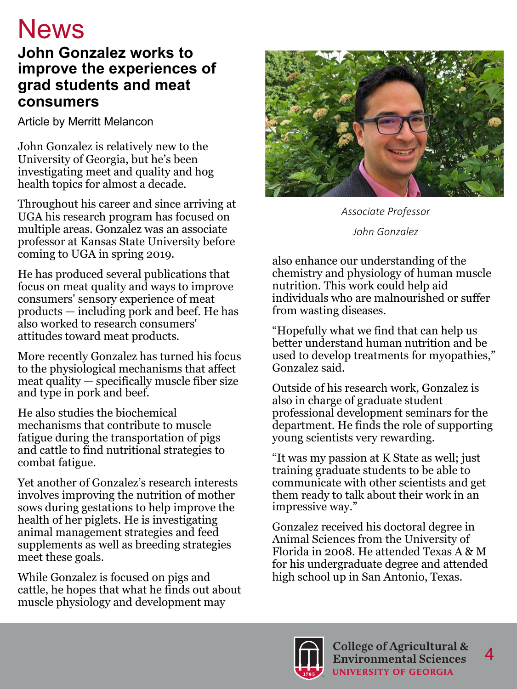## **News**

#### **John Gonzalez works to improve the experiences of grad students and meat consumers**

Article by Merritt Melancon

John Gonzalez is relatively new to the University of Georgia, but he's been investigating meet and quality and hog health topics for almost a decade.

Throughout his career and since arriving at UGA his research program has focused on multiple areas. Gonzalez was an associate professor at Kansas State University before coming to UGA in spring 2019.

He has produced several publications that focus on meat quality and ways to improve consumers' sensory experience of meat products — including pork and beef. He has also worked to research consumers' attitudes toward meat products.

More recently Gonzalez has turned his focus to the physiological mechanisms that affect meat quality — specifically muscle fiber size and type in pork and beef.

He also studies the biochemical mechanisms that contribute to muscle fatigue during the transportation of pigs and cattle to find nutritional strategies to combat fatigue.

Yet another of Gonzalez's research interests involves improving the nutrition of mother sows during gestations to help improve the health of her piglets. He is investigating animal management strategies and feed supplements as well as breeding strategies meet these goals.

While Gonzalez is focused on pigs and cattle, he hopes that what he finds out about muscle physiology and development may



*Associate Professor John Gonzalez*

also enhance our understanding of the chemistry and physiology of human muscle nutrition. This work could help aid individuals who are malnourished or suffer from wasting diseases.

"Hopefully what we find that can help us better understand human nutrition and be used to develop treatments for myopathies," Gonzalez said.

Outside of his research work, Gonzalez is also in charge of graduate student professional development seminars for the department. He finds the role of supporting young scientists very rewarding.

"It was my passion at K State as well; just training graduate students to be able to communicate with other scientists and get them ready to talk about their work in an impressive way."

Gonzalez received his doctoral degree in Animal Sciences from the University of Florida in 2008. He attended Texas A & M for his undergraduate degree and attended high school up in San Antonio, Texas.

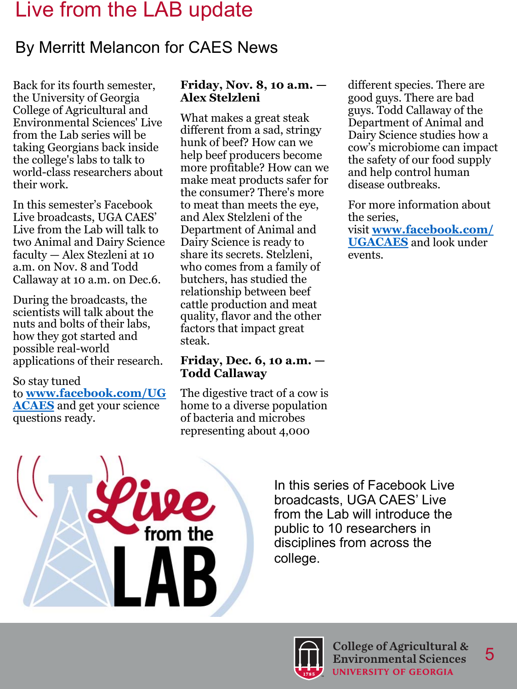## Live from the LAB update

### By Merritt Melancon for CAES News

Back for its fourth semester, the University of Georgia College of Agricultural and Environmental Sciences' Live from the Lab series will be taking Georgians back inside the college's labs to talk to world-class researchers about their work.

In this semester's Facebook Live broadcasts, UGA CAES' Live from the Lab will talk to two Animal and Dairy Science faculty — Alex Stezleni at 10 a.m. on Nov. 8 and Todd Callaway at 10 a.m. on Dec.6.

During the broadcasts, the scientists will talk about the nuts and bolts of their labs, how they got started and possible real-world applications of their research.

#### So stay tuned to **[www.facebook.com/UG](http://www.facebook.com/UGACAES) ACAES** and get your science questions ready.

#### **Friday, Nov. 8, 10 a.m. — Alex Stelzleni**

What makes a great steak different from a sad, stringy hunk of beef? How can we help beef producers become more profitable? How can we make meat products safer for the consumer? There's more to meat than meets the eye, and Alex Stelzleni of the Department of Animal and Dairy Science is ready to share its secrets. Stelzleni, who comes from a family of butchers, has studied the relationship between beef cattle production and meat quality, flavor and the other factors that impact great steak.

#### **Friday, Dec. 6, 10 a.m. — Todd Callaway**

The digestive tract of a cow is home to a diverse population of bacteria and microbes representing about 4,000

different species. There are good guys. There are bad guys. Todd Callaway of the Department of Animal and Dairy Science studies how a cow's microbiome can impact the safety of our food supply and help control human disease outbreaks.

For more information about the series,

visit **[www.facebook.com/](http://www.facebook.com/UGACAES) UGACAES** and look under events.



In this series of Facebook Live broadcasts, UGA CAES' Live from the Lab will introduce the public to 10 researchers in disciplines from across the college.

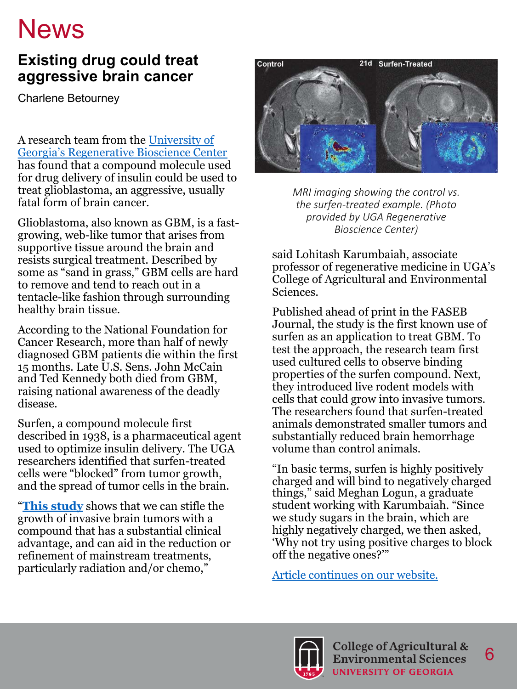## **News**

#### **Existing drug could treat aggressive brain cancer**

Charlene Betourney

A research team from the University of [Georgia's Regenerative Bioscience Center](http://rbc.uga.edu/)  has found that a compound molecule used for drug delivery of insulin could be used to treat glioblastoma, an aggressive, usually fatal form of brain cancer.

Glioblastoma, also known as GBM, is a fastgrowing, web-like tumor that arises from supportive tissue around the brain and resists surgical treatment. Described by some as "sand in grass," GBM cells are hard to remove and tend to reach out in a tentacle-like fashion through surrounding healthy brain tissue.

According to the National Foundation for Cancer Research, more than half of newly diagnosed GBM patients die within the first 15 months. Late U.S. Sens. John McCain and Ted Kennedy both died from GBM, raising national awareness of the deadly disease.

Surfen, a compound molecule first described in 1938, is a pharmaceutical agent used to optimize insulin delivery. The UGA researchers identified that surfen-treated cells were "blocked" from tumor growth, and the spread of tumor cells in the brain.

"**[This study](https://www.fasebj.org/doi/10.1096/fj.201802610RR)** shows that we can stifle the growth of invasive brain tumors with a compound that has a substantial clinical advantage, and can aid in the reduction or refinement of mainstream treatments, particularly radiation and/or chemo,"



*MRI imaging showing the control vs. the surfen-treated example. (Photo provided by UGA Regenerative Bioscience Center)*

said Lohitash Karumbaiah, associate professor of regenerative medicine in UGA's College of Agricultural and Environmental Sciences.

Published ahead of print in the FASEB Journal, the study is the first known use of surfen as an application to treat GBM. To test the approach, the research team first used cultured cells to observe binding properties of the surfen compound. Next, they introduced live rodent models with cells that could grow into invasive tumors. The researchers found that surfen-treated animals demonstrated smaller tumors and substantially reduced brain hemorrhage volume than control animals.

"In basic terms, surfen is highly positively charged and will bind to negatively charged things," said Meghan Logun, a graduate student working with Karumbaiah. "Since we study sugars in the brain, which are highly negatively charged, we then asked, 'Why not try using positive charges to block off the negative ones?'"

[Article continues on our website.](https://www.caes.uga.edu/news-events/news/story.html?storyid=8119&preview=true)

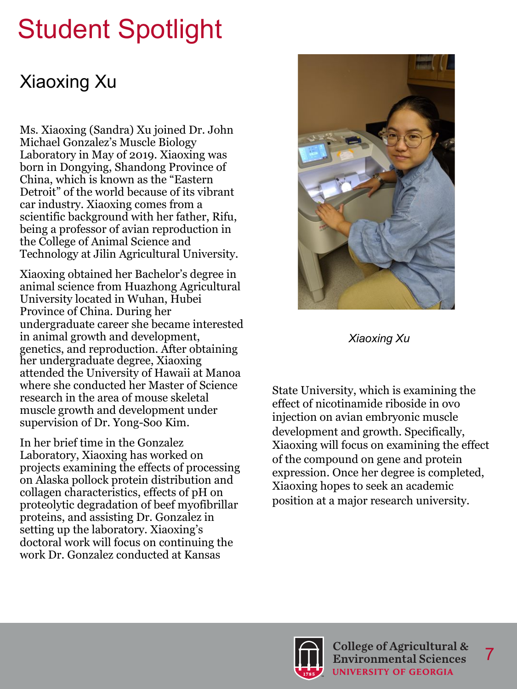# Student Spotlight

## Xiaoxing Xu

Ms. Xiaoxing (Sandra) Xu joined Dr. John Michael Gonzalez's Muscle Biology Laboratory in May of 2019. Xiaoxing was born in Dongying, Shandong Province of China, which is known as the "Eastern Detroit" of the world because of its vibrant car industry. Xiaoxing comes from a scientific background with her father, Rifu, being a professor of avian reproduction in the College of Animal Science and Technology at Jilin Agricultural University.

Xiaoxing obtained her Bachelor's degree in animal science from Huazhong Agricultural University located in Wuhan, Hubei Province of China. During her undergraduate career she became interested in animal growth and development, genetics, and reproduction. After obtaining her undergraduate degree, Xiaoxing attended the University of Hawaii at Manoa where she conducted her Master of Science research in the area of mouse skeletal muscle growth and development under supervision of Dr. Yong-Soo Kim.

In her brief time in the Gonzalez Laboratory, Xiaoxing has worked on projects examining the effects of processing on Alaska pollock protein distribution and collagen characteristics, effects of pH on proteolytic degradation of beef myofibrillar proteins, and assisting Dr. Gonzalez in setting up the laboratory. Xiaoxing's doctoral work will focus on continuing the work Dr. Gonzalez conducted at Kansas



*Xiaoxing Xu*

State University, which is examining the effect of nicotinamide riboside in ovo injection on avian embryonic muscle development and growth. Specifically, Xiaoxing will focus on examining the effect of the compound on gene and protein expression. Once her degree is completed, Xiaoxing hopes to seek an academic position at a major research university.